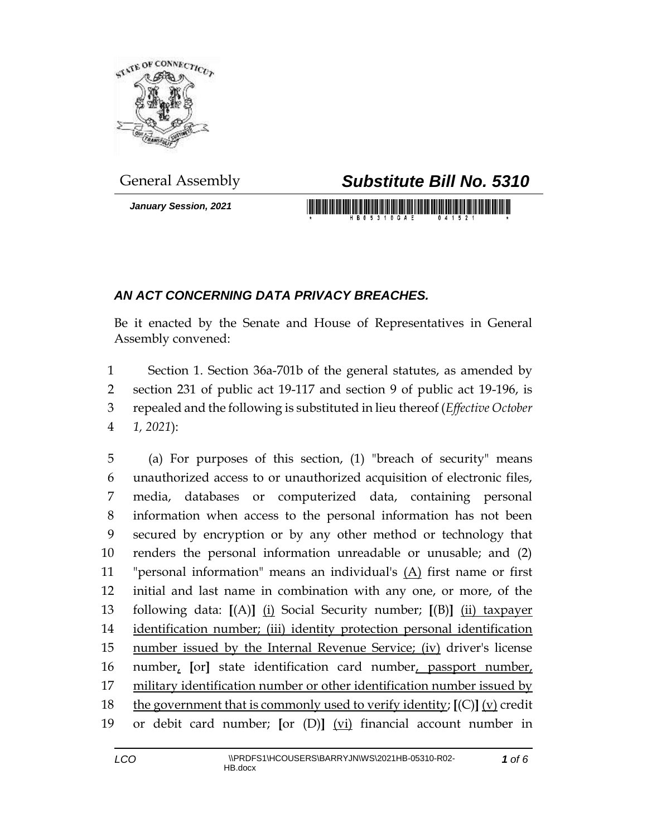

*January Session, 2021*

## General Assembly *Substitute Bill No. 5310*

<u> 1989 - An Dùbhlachd ann an Dùbhaidh ann an Dùbhaidh an Dùbhlachd ann an Dùbhlachd ann an Dùbhlachd ann an Dùb</u>

## *AN ACT CONCERNING DATA PRIVACY BREACHES.*

Be it enacted by the Senate and House of Representatives in General Assembly convened:

 Section 1. Section 36a-701b of the general statutes, as amended by section 231 of public act 19-117 and section 9 of public act 19-196, is repealed and the following is substituted in lieu thereof (*Effective October 1, 2021*):

 (a) For purposes of this section, (1) "breach of security" means unauthorized access to or unauthorized acquisition of electronic files, media, databases or computerized data, containing personal information when access to the personal information has not been secured by encryption or by any other method or technology that renders the personal information unreadable or unusable; and (2) "personal information" means an individual's (A) first name or first initial and last name in combination with any one, or more, of the following data: **[**(A)**]** (i) Social Security number; **[**(B)**]** (ii) taxpayer identification number; (iii) identity protection personal identification 15 number issued by the Internal Revenue Service; (iv) driver's license number, **[**or**]** state identification card number, passport number, military identification number or other identification number issued by the government that is commonly used to verify identity; **[**(C)**]** (v) credit or debit card number; **[**or (D)**]** (vi) financial account number in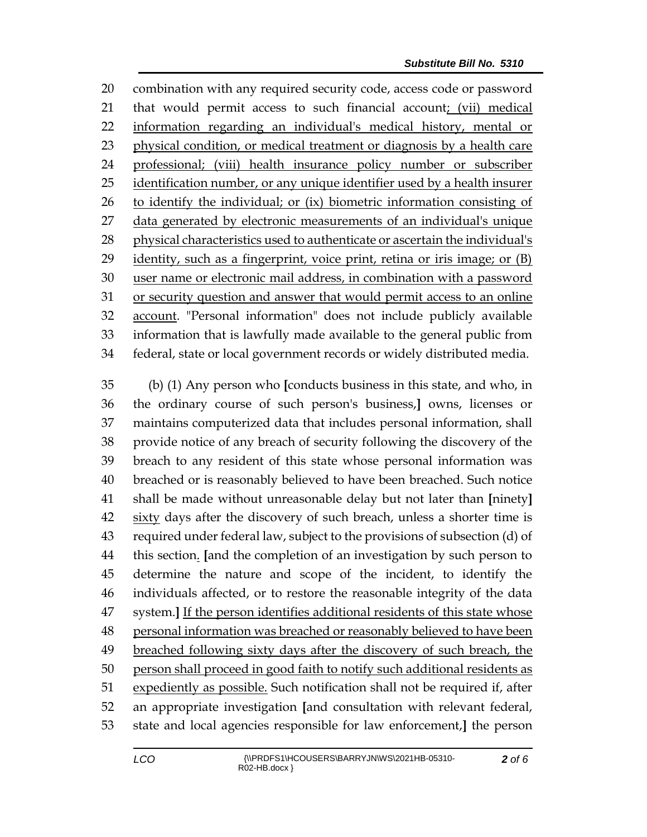combination with any required security code, access code or password that would permit access to such financial account; (vii) medical information regarding an individual's medical history, mental or physical condition, or medical treatment or diagnosis by a health care professional; (viii) health insurance policy number or subscriber 25 identification number, or any unique identifier used by a health insurer to identify the individual; or (ix) biometric information consisting of data generated by electronic measurements of an individual's unique physical characteristics used to authenticate or ascertain the individual's identity, such as a fingerprint, voice print, retina or iris image; or (B) user name or electronic mail address, in combination with a password or security question and answer that would permit access to an online account. "Personal information" does not include publicly available information that is lawfully made available to the general public from federal, state or local government records or widely distributed media.

 (b) (1) Any person who **[**conducts business in this state, and who, in the ordinary course of such person's business,**]** owns, licenses or maintains computerized data that includes personal information, shall provide notice of any breach of security following the discovery of the breach to any resident of this state whose personal information was breached or is reasonably believed to have been breached. Such notice shall be made without unreasonable delay but not later than **[**ninety**]** sixty days after the discovery of such breach, unless a shorter time is required under federal law, subject to the provisions of subsection (d) of this section. **[**and the completion of an investigation by such person to determine the nature and scope of the incident, to identify the individuals affected, or to restore the reasonable integrity of the data system.**]** If the person identifies additional residents of this state whose 48 personal information was breached or reasonably believed to have been 49 breached following sixty days after the discovery of such breach, the person shall proceed in good faith to notify such additional residents as expediently as possible. Such notification shall not be required if, after an appropriate investigation **[**and consultation with relevant federal, state and local agencies responsible for law enforcement,**]** the person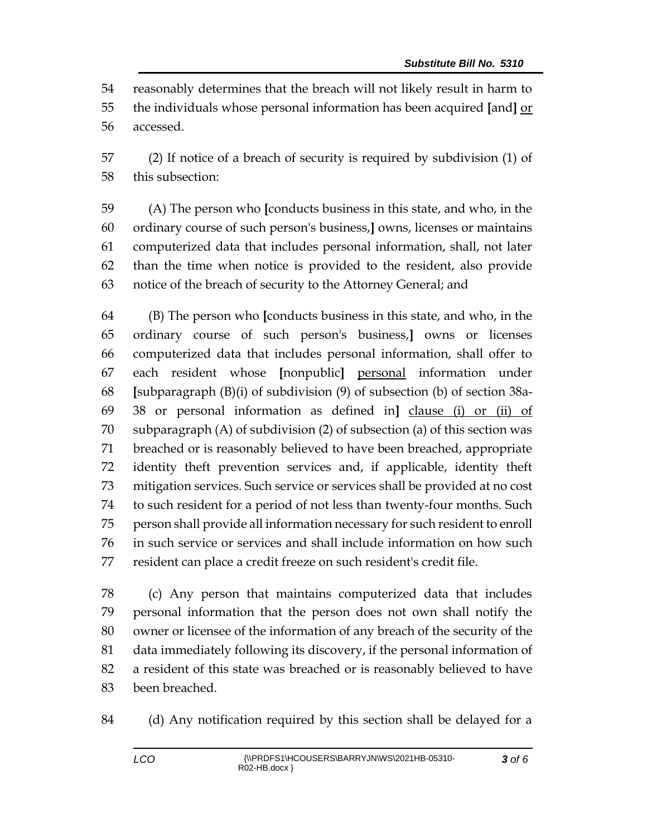reasonably determines that the breach will not likely result in harm to the individuals whose personal information has been acquired **[**and**]** or accessed.

 (2) If notice of a breach of security is required by subdivision (1) of this subsection:

 (A) The person who **[**conducts business in this state, and who, in the ordinary course of such person's business,**]** owns, licenses or maintains computerized data that includes personal information, shall, not later than the time when notice is provided to the resident, also provide notice of the breach of security to the Attorney General; and

 (B) The person who **[**conducts business in this state, and who, in the ordinary course of such person's business,**]** owns or licenses computerized data that includes personal information, shall offer to each resident whose **[**nonpublic**]** personal information under **[**subparagraph (B)(i) of subdivision (9) of subsection (b) of section 38a- 38 or personal information as defined in**]** clause (i) or (ii) of subparagraph (A) of subdivision (2) of subsection (a) of this section was breached or is reasonably believed to have been breached, appropriate identity theft prevention services and, if applicable, identity theft mitigation services. Such service or services shall be provided at no cost to such resident for a period of not less than twenty-four months. Such person shall provide all information necessary for such resident to enroll in such service or services and shall include information on how such resident can place a credit freeze on such resident's credit file.

 (c) Any person that maintains computerized data that includes personal information that the person does not own shall notify the owner or licensee of the information of any breach of the security of the data immediately following its discovery, if the personal information of a resident of this state was breached or is reasonably believed to have been breached.

(d) Any notification required by this section shall be delayed for a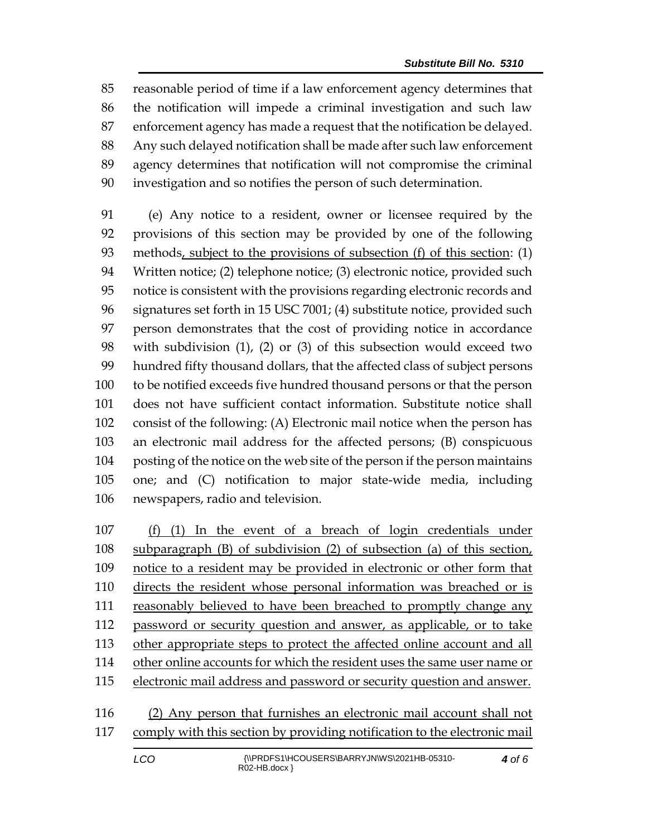reasonable period of time if a law enforcement agency determines that the notification will impede a criminal investigation and such law enforcement agency has made a request that the notification be delayed. Any such delayed notification shall be made after such law enforcement agency determines that notification will not compromise the criminal investigation and so notifies the person of such determination.

 (e) Any notice to a resident, owner or licensee required by the provisions of this section may be provided by one of the following methods, subject to the provisions of subsection (f) of this section: (1) Written notice; (2) telephone notice; (3) electronic notice, provided such notice is consistent with the provisions regarding electronic records and signatures set forth in 15 USC 7001; (4) substitute notice, provided such person demonstrates that the cost of providing notice in accordance with subdivision (1), (2) or (3) of this subsection would exceed two hundred fifty thousand dollars, that the affected class of subject persons to be notified exceeds five hundred thousand persons or that the person does not have sufficient contact information. Substitute notice shall consist of the following: (A) Electronic mail notice when the person has an electronic mail address for the affected persons; (B) conspicuous posting of the notice on the web site of the person if the person maintains one; and (C) notification to major state-wide media, including newspapers, radio and television.

 (f) (1) In the event of a breach of login credentials under subparagraph (B) of subdivision (2) of subsection (a) of this section, notice to a resident may be provided in electronic or other form that directs the resident whose personal information was breached or is reasonably believed to have been breached to promptly change any 112 password or security question and answer, as applicable, or to take 113 other appropriate steps to protect the affected online account and all other online accounts for which the resident uses the same user name or electronic mail address and password or security question and answer.

 (2) Any person that furnishes an electronic mail account shall not comply with this section by providing notification to the electronic mail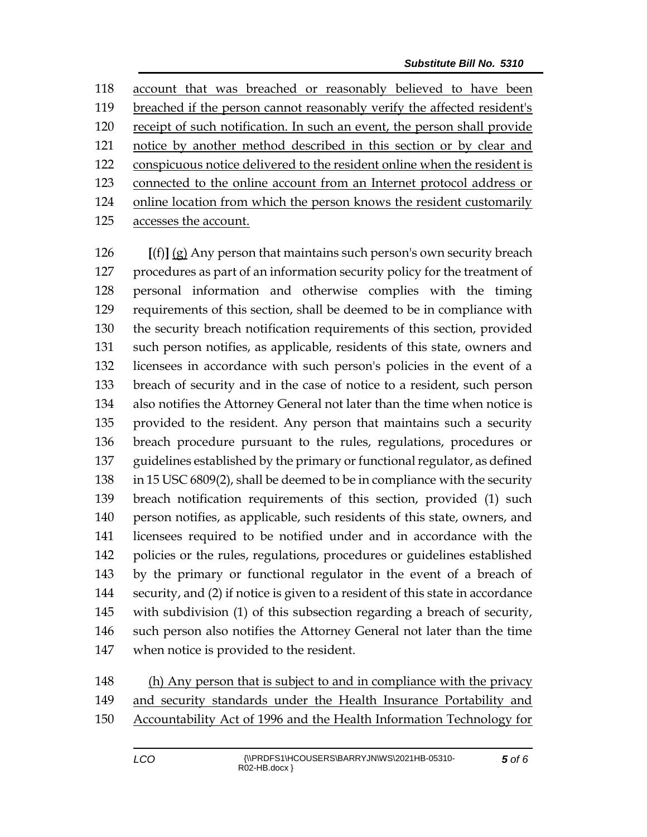account that was breached or reasonably believed to have been breached if the person cannot reasonably verify the affected resident's receipt of such notification. In such an event, the person shall provide notice by another method described in this section or by clear and conspicuous notice delivered to the resident online when the resident is connected to the online account from an Internet protocol address or online location from which the person knows the resident customarily accesses the account.

 **[**(f)**]** (g) Any person that maintains such person's own security breach procedures as part of an information security policy for the treatment of personal information and otherwise complies with the timing requirements of this section, shall be deemed to be in compliance with the security breach notification requirements of this section, provided such person notifies, as applicable, residents of this state, owners and licensees in accordance with such person's policies in the event of a breach of security and in the case of notice to a resident, such person also notifies the Attorney General not later than the time when notice is provided to the resident. Any person that maintains such a security breach procedure pursuant to the rules, regulations, procedures or guidelines established by the primary or functional regulator, as defined in 15 USC 6809(2), shall be deemed to be in compliance with the security breach notification requirements of this section, provided (1) such person notifies, as applicable, such residents of this state, owners, and licensees required to be notified under and in accordance with the policies or the rules, regulations, procedures or guidelines established by the primary or functional regulator in the event of a breach of security, and (2) if notice is given to a resident of this state in accordance with subdivision (1) of this subsection regarding a breach of security, such person also notifies the Attorney General not later than the time when notice is provided to the resident.

 (h) Any person that is subject to and in compliance with the privacy and security standards under the Health Insurance Portability and Accountability Act of 1996 and the Health Information Technology for